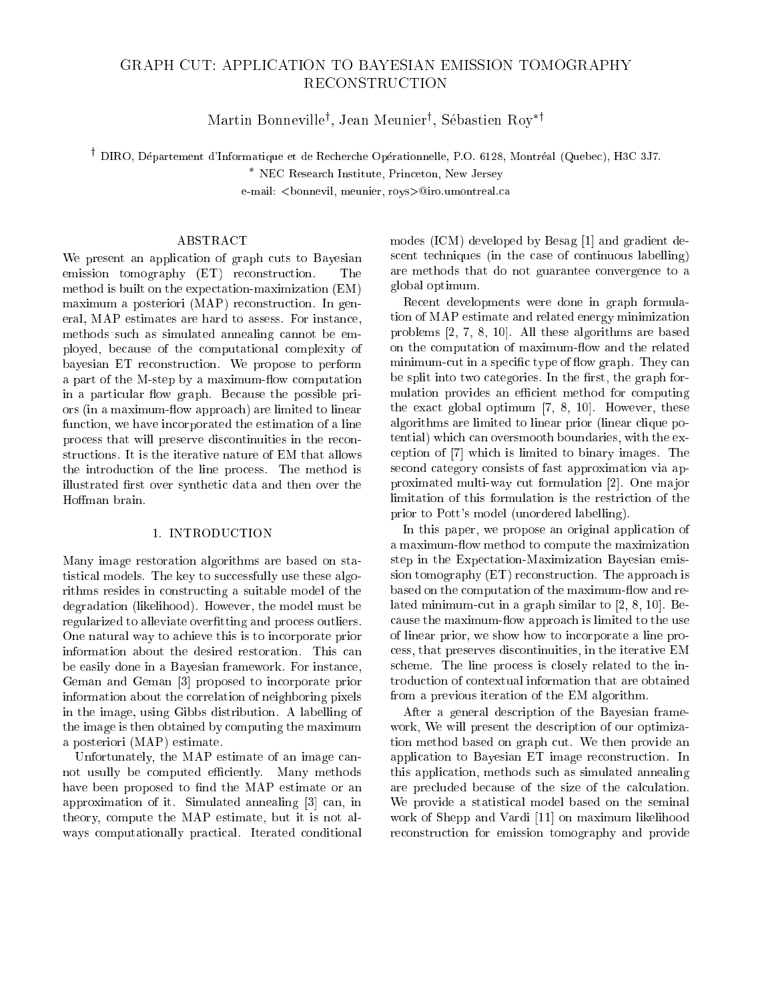# GRAPH CUT: APPLICATION TO BAYESIAN EMISSION TOMOGRAPHY RECONSTRUCTION

Martin Bonneville<sup>t</sup>, Jean Meunier<sup>t</sup>, Sébastien Roy\*†

t DIRO, Département d'Informatique et de Recherche Opérationnelle, P.O. 6128, Montréal (Quebec), H3C 3.J7.

NEC Resear
h Institute, Prin
eton, New Jersey

e-mail: <br/> <br/> <br/> <br/> <br/> <br/> <br/>meunier, roys>@iro.umontreal.ca

# ABSTRACT

We present an application of graph cuts to Bayesian emission tomography (ET) reconstruction. The method is built on the expe
tation-maximization (EM) maximum a posteriori (MAP) reconstruction. In general, MAP estimates are hard to assess. For instan
e, methods su
h as simulated annealing annot be employed, be
ause of the omputational omplexity of bayesian ET re
onstru
tion. We propose to perform a part of the M-step by a maximum-flow computation in a particular flow graph. Because the possible priors (in a maximumow approa
h) are limited to linear function, we have incorporated the estimation of a line pro
ess that will preserve dis
ontinuities in the re
onstru
tions. It is the iterative nature of EM that allows the introdu
tion of the line pro
ess. The method is illustrated first over synthetic data and then over the Hoffman brain.

#### 1. INTRODUCTION

Many image restoration algorithms are based on statistical models. The key to successfully use these algorithms resides in onstru
ting a suitable model of the degradation (likelihood). However, the model must be regularized to alleviate overfitting and process outliers. One natural way to a
hieve this is to in
orporate prior information about the desired restoration. This can be easily done in a Bayesian framework. For instan
e, Geman and Geman [3] proposed to incorporate prior information about the orrelation of neighboring pixels in the image, using Gibbs distribution. A labelling of the image is then obtained by omputing the maximum a posteriori (MAP) estimate.

Unfortunately, the MAP estimate of an image cannot usully be computed efficiently. Many methods have been proposed to find the MAP estimate or an approximation of it. Simulated annealing  $[3]$  can, in theory, ompute the MAP estimate, but it is not always computationally practical. Iterated conditional

modes (ICM) developed by Besag [1] and gradient descent techniques (in the case of continuous labelling) are methods that do not guarantee onvergen
e to a global optimum.

Recent developments were done in graph formulation of MAP estimate and related energy minimization problems  $[2, 7, 8, 10]$ . All these algorithms are based on the computation of maximum-flow and the related minimum-cut in a specific type of flow graph. They can be split into two categories. In the first, the graph formulation provides an efficient method for computing the exact global optimum  $[7, 8, 10]$ . However, these algorithms are limited to linear prior (linear clique potential) whi
h an oversmooth boundaries, with the ex ception of [7] which is limited to binary images. The second category consists of fast approximation via approximated multi-way cut formulation [2]. One major limitation of this formulation is the restriction of the prior to Pott's model (unordered labelling).

In this paper, we propose an original application of a maximum-flow method to compute the maximization step in the Expe
tation-Maximization Bayesian emission tomography (ET) reconstruction. The approach is based on the computation of the maximum-flow and related minimum-cut in a graph similar to  $[2, 8, 10]$ . Because the maximum-flow approach is limited to the use of linear prior, we show how to in
orporate a line pro ess, that preserves dis
ontinuities, in the iterative EM scheme. The line process is closely related to the introduction of contextual information that are obtained from a previous iteration of the EM algorithm.

After a general des
ription of the Bayesian framework, We will present the description of our optimization method based on graph cut. We then provide an application to Bayesian ET image reconstruction. In this appli
ation, methods su
h as simulated annealing are pre
luded be
ause of the size of the al
ulation. We provide a statisti
al model based on the seminal work of Shepp and Vardi [11] on maximum likelihood reconstruction for emission tomography and provide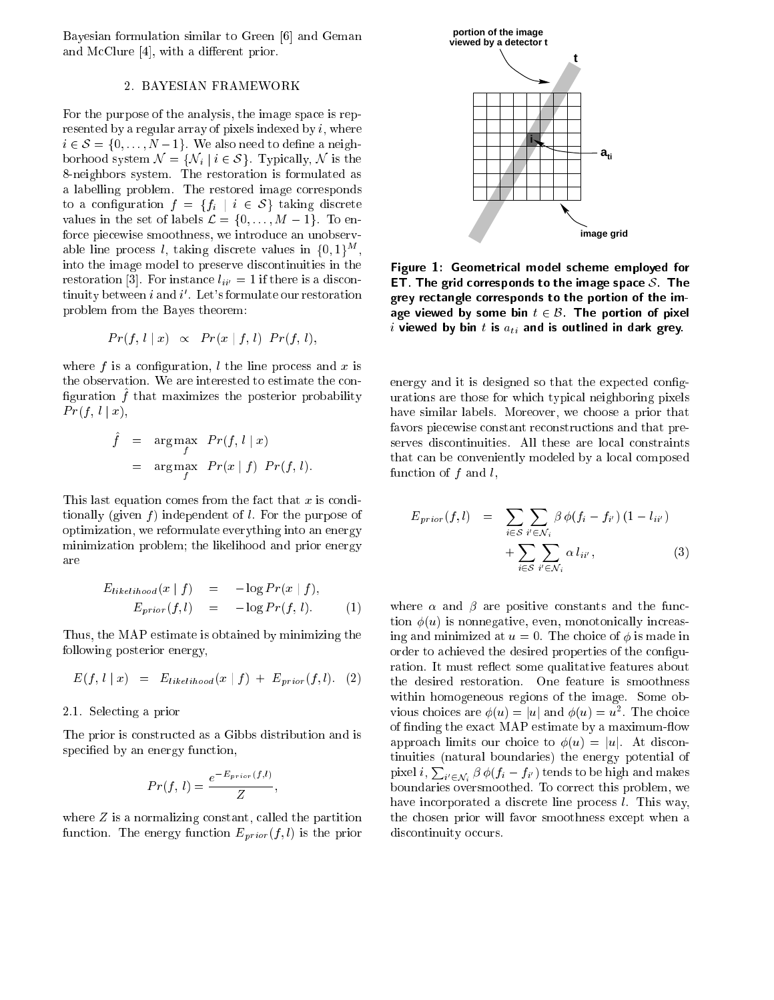Bayesian formulation similar to Green [6] and Geman and McClure  $[4]$ , with a different prior.

#### 2. BAYESIAN FRAMEWORK

For the purpose of the analysis, the image space is represented by a regular array of pixels indexed by  $i$ , where  $i \in \mathcal{S} = \{0, \ldots, N-1\}$ . We also need to define a neighborhood system  $\mathcal{N} = \{ \mathcal{N}_i \mid i \in \mathcal{S} \}$ . Typically,  $\mathcal{N}$  is the 8-neighbors system. The restoration is formulated as a labelling problem. The restored image orresponds to a configuration  $f = \{f_i \mid i \in S\}$  taking discrete values in the set of labels  $\mathcal{L} = \{0, \ldots, M-1\}$ . To enfor
e pie
ewise smoothness, we introdu
e an unobservable line process *l*, taking discrete values in  $\{0,1\}^M$ , into the image model to preserve dis
ontinuities in the restoration [3]. For instance  $l_{ii'} = 1$  if there is a discontinuity between  $i$  and  $i'$  . Let's formulate our restoration problem from the Bayes theorem:

$$
Pr(f, l \mid x) \propto Pr(x \mid f, l) Pr(f, l),
$$

where f is a configuration, l the line process and x is the observation. We are interested to estimate the con- $\max$  at the maximizes the posterior probability  $Pr(f, l | x),$ 

$$
\begin{array}{rcl}\n\hat{f} & = & \arg \max_{f} & Pr(f, l \mid x) \\
& = & \arg \max_{f} & Pr(x \mid f) & Pr(f, l).\n\end{array}
$$

 $\cdot$ 

This last equation comes from the fact that  $x$  is conditionally (given f) independent of l. For the purpose of optimization, we reformulate everything into an energy minimization problem; the likelihood and prior energy are

$$
E_{likelihood}(x | f) = -\log Pr(x | f),
$$
  
\n
$$
E_{prior}(f, l) = -\log Pr(f, l). \tag{1}
$$

Thus, the MAP estimate is obtained by minimizing the following posterior energy,

$$
E(f, l \mid x) = E_{likelihood}(x \mid f) + E_{prior}(f, l). \quad (2)
$$

## 2.1. Sele
ting a prior

The prior is constructed as a Gibbs distribution and is specified by an energy function,

$$
Pr(f, l) = \frac{e^{-E_{prior}(f, l)}}{Z},
$$

where  $Z$  is a normalizing constant, called the partition function. The energy function  $E_{prior}(f, l)$  is the prior



Figure 1: Geometri
al model s
heme employed for ET. The grid corresponds to the image space  $S$ . The grey re
tangle orresponds to the portion of the image viewed by some bin  $t \in \mathcal{B}$ . The portion of pixel i viewed by bin  $t$  is  $a_{ti}$  and is outlined in dark grey.

energy and it is designed so that the expected configurations are those for whi
h typi
al neighboring pixels have similar labels. Moreover, we choose a prior that favors piecewise constant reconstructions and that preserves dis
ontinuities. All these are lo
al onstraints that an be onveniently modeled by a lo
al omposed function of  $f$  and  $l$ ,

$$
E_{prior}(f, l) = \sum_{i \in S} \sum_{i' \in \mathcal{N}_i} \beta \phi(f_i - f_{i'}) (1 - l_{ii'})
$$
  
+ 
$$
\sum_{i \in S} \sum_{i' \in \mathcal{N}_i} \alpha l_{ii'},
$$
 (3)

where  $\alpha$  and  $\beta$  are positive constants and the function  $\phi(u)$  is nonnegative, even, monotonically increasing and minimized at  $u = 0$ . The choice of  $\phi$  is made in order to achieved the desired properties of the configuration. It must reflect some qualitative features about the desired restoration. One feature is smoothness within homogeneous regions of the image. Some obvious choices are  $\varphi(u) = |u|$  and  $\varphi(u) = u$ . The choice of finding the exact MAP estimate by a maximum-flow approach limits our choice to  $\phi(u) = |u|$ . At discontinuities (natural boundaries) the energy potential of pixel  $i, \sum_{i' \in \mathcal{N}_i} \beta \, \phi(f_i - f_{i'})$  tends to be high and makes boundaries oversmoothed. To orre
t this problem, we have incorporated a discrete line process l. This way, the hosen prior will favor smoothness ex
ept when a discontinuity occurs.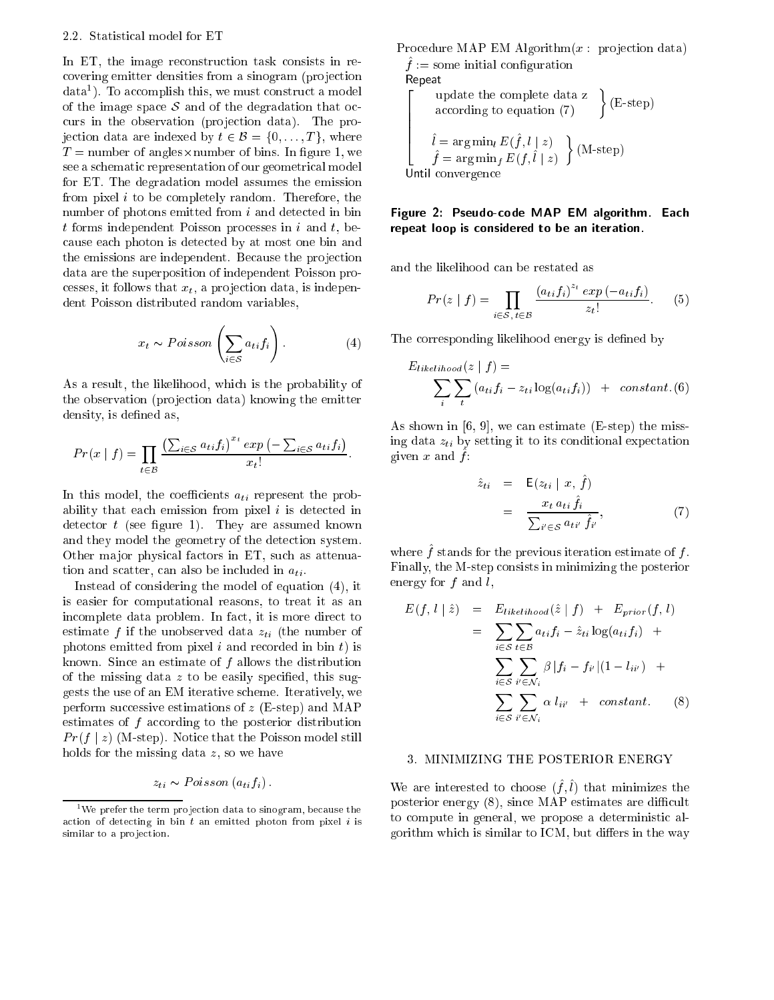#### 2.2. Statisti
al model for ET

In ET, the image reconstruction task consists in recovering emitter densities from a sinogram (projection data ). To accomplish this, we must construct a model of the image space  $S$  and of the degradation that occurs in the observation (projection data). The projection data are indexed by  $t \in \mathcal{B} = \{0, \ldots, T\}$ , where  $\blacksquare$  . In the order of bins. In the angles  $\blacksquare$  . In the set of  $\blacksquare$  , we have  $\blacksquare$ see a s
hemati representation of our geometri
al model for ET. The degradation model assumes the emission from pixel *i* to be completely random. Therefore, the number of photons emitted from  $i$  and detected in bin  $t$  forms independent Poisson processes in  $i$  and  $t$ , beause ea
h photon is dete
ted by at most one bin and the emissions are independent. Because the projection data are the superposition of independent Poisson pro cesses, it follows that  $x_t$ , a projection data, is independent Poisson distributed random variables,

$$
x_t \sim Poisson\left(\sum_{i \in S} a_{ti} f_i\right). \tag{4}
$$

As a result, the likelihood, whi
h is the probability of the observation (projection data) knowing the emitter density, is defined as,

$$
Pr(x \mid f) = \prod_{t \in \mathcal{B}} \frac{\left(\sum_{i \in \mathcal{S}} a_{ti} f_i\right)^{x_t} exp\left(-\sum_{i \in \mathcal{S}} a_{ti} f_i\right)}{x_t!}
$$

In this model, the coefficients  $a_{ti}$  represent the probability that each emission from pixel  $i$  is detected in detector  $t$  (see figure 1). They are assumed known and they model the geometry of the dete
tion system. Other major physical factors in ET, such as attenuation and scatter, can also be included in  $a_{ti}$ .

Instead of considering the model of equation (4), it is easier for omputational reasons, to treat it as an incomplete data problem. In fact, it is more direct to estimate f if the unobserved data  $z_{ti}$  (the number of photons emitted from pixel i and recorded in bin  $t$ ) is known. Sin
e an estimate of <sup>f</sup> allows the distribution of the missing data  $z$  to be easily specified, this suggests the use of an EM iterative s
heme. Iteratively, we perform successive estimations of  $z$  (E-step) and MAP estimates of  $f$  according to the posterior distribution  $Pr(f \mid z)$  (M-step). Notice that the Poisson model still holds for the missing data z, so we have

$$
z_{ti} \sim Poisson\left(a_{ti}f_i\right).
$$

Procedure MAP EM Algorithm $(x:$  projection data)  $\mu$  .  $=$  some initial configuration Repeat <sup>2</sup> update the complete data zero and the complete data zero and the complete data zero and the complete data zero update the complete data  $z \nvert$ <br>according to equation (7)  $\left\langle$  (E-step)

according to equation (7) 
$$
\hat{l} = \arg\min_{l} E(\hat{f}, l \mid z) \n\hat{f} = \arg\min_{f} E(f, l \mid z) \quad \text{(M-step)}
$$
\nUntil convergence

Figure 2: Pseudo-code MAP EM algorithm. Each repeat loop is considered to be an iteration.

and the likelihood can be restated as

$$
Pr(z \mid f) = \prod_{i \in S, t \in B} \frac{(a_{ti}f_i)^{z_i} \exp(-a_{ti}f_i)}{z_t!}.
$$
 (5)

The corresponding likelihood energy is defined by

$$
E_{likelihood}(z | f) =
$$
  

$$
\sum_{i} \sum_{t} (a_{ti}f_i - z_{ti} \log(a_{ti}f_i)) + constant.(6)
$$

As shown in  $[6, 9]$ , we can estimate (E-step) the missing data  $z_{ti}$  by setting it to its conditional expectation given  $x$  and  $y$ .

$$
\hat{z}_{ti} = \mathsf{E}(z_{ti} | x, \hat{f})
$$
\n
$$
= \frac{x_t a_{ti} \hat{f}_i}{\sum_{i' \in S} a_{ti'} \hat{f}_{i'}}, \tag{7}
$$

where  $f$  stands for the previous iteration estimate or  $f$ . Finally, the M-step onsists in minimizing the posterior energy for  $f$  and  $l$ ,

$$
E(f, l | \hat{z}) = E_{likelihood}(\hat{z} | f) + E_{prior}(f, l)
$$
  
= 
$$
\sum_{i \in S} \sum_{t \in B} a_{ti} f_i - \hat{z}_{ti} \log(a_{ti} f_i) + \sum_{i \in S} \sum_{i' \in \mathcal{N}_i} \beta |f_i - f_{i'}| (1 - l_{ii'}) + \sum_{i \in S} \sum_{i' \in \mathcal{N}_i} \alpha l_{ii'} + constant.
$$
 (8)

# 3. MINIMIZING THE POSTERIOR ENERGY

We are interested to choose  $(f, t)$  that minimizes the posterior energy (8), since MAP estimates are difficult to ompute in general, we propose a deterministi algorithm which is similar to ICM, but differs in the way

twe prefer the term projection data to sinogram, because the a
tion of dete
ting in bin <sup>t</sup> an emitted photon from pixel <sup>i</sup> is similar to a problem of the problem of the problem of the problem of the problem of the problem of the problem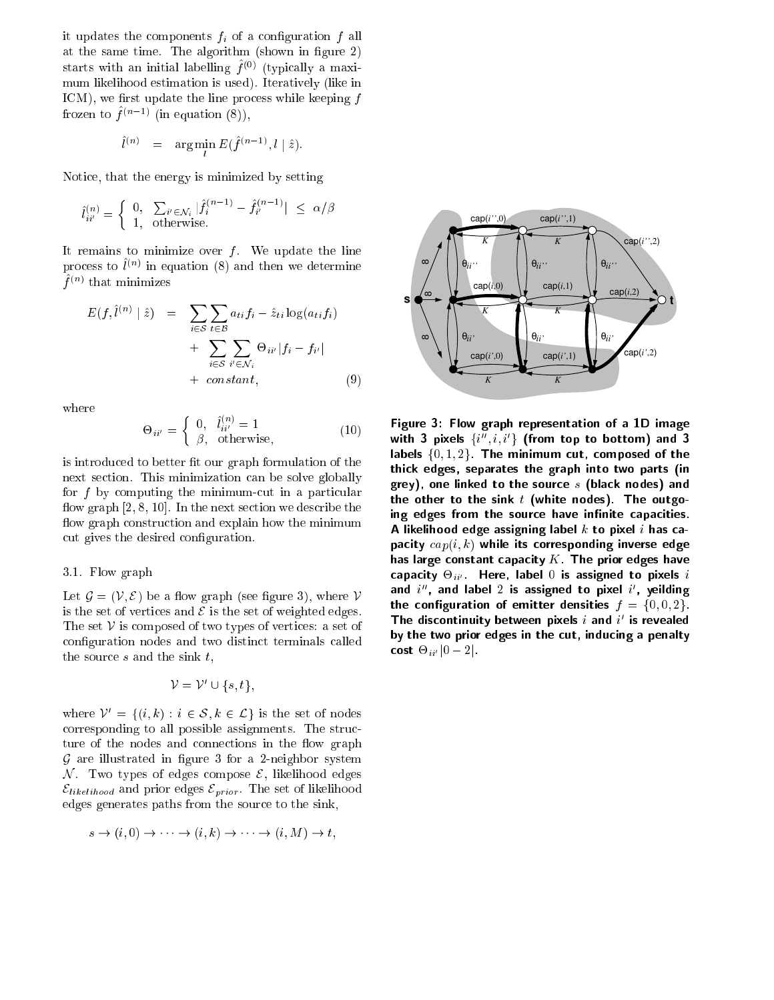it updates the components  $f_i$  of a configuration f all at the same time. The algorithm (shown in figure 2)  $_{\rm stat}$ is with an initial labelling  $_{\rm 1}$   $\sim$   $\prime$  (typically a maximum likelihood estimation is used). Iteratively (like in ICM), we first update the line process while keeping  $f$  $f$ rozen to  $f$   $\rightarrow$   $\rightarrow$  (in equation (8)).

$$
\hat{l}^{(n)} = \arg\min_{l} E(\hat{f}^{(n-1)}, l \mid \hat{z}).
$$

Noti
e, that the energy is minimized by setting

$$
\hat{l}_{ii'}^{(n)} = \begin{cases} 0, & \sum_{i' \in \mathcal{N}_i} |\hat{f}_i^{(n-1)} - \hat{f}_{i'}^{(n-1)}| \leq \alpha/\beta \\ 1, & \text{otherwise.} \end{cases}
$$

It remains to minimize over  $f$ . We update the line process to  $\psi \rightarrow$  in equation (8) and then we determine  $f \sim$  that minimizes

$$
E(f, \hat{l}^{(n)} | \hat{z}) = \sum_{i \in S} \sum_{t \in B} a_{ti} f_i - \hat{z}_{ti} \log(a_{ti} f_i)
$$
  
+ 
$$
\sum_{i \in S} \sum_{i' \in \mathcal{N}_i} \Theta_{ii'} |f_i - f_{i'}|
$$
  
+ *constant*, (9)

where

$$
\Theta_{ii'} = \begin{cases} 0, & \hat{l}_{ii'}^{(n)} = 1 \\ \beta, & \text{otherwise,} \end{cases}
$$
 (10)

is introduced to better fit our graph formulation of the next se
tion. This minimization an be solve globally for  $f$  by computing the minimum-cut in a particular flow graph  $[2, 8, 10]$ . In the next section we describe the flow graph construction and explain how the minimum cut gives the desired configuration.

# 3.1. Flow graph

Let  $\mathcal{G} = (\mathcal{V}, \mathcal{E})$  be a flow graph (see figure 3), where  $\mathcal{V}$ is the set of vertices and  $\mathcal E$  is the set of weighted edges. The set  $V$  is composed of two types of vertices: a set of configuration nodes and two distinct terminals called the source  $s$  and the sink  $t$ ,

$$
\mathcal{V} = \mathcal{V}' \cup \{s, t\},\
$$

where  $V' = \{(i, k) : i \in S, k \in \mathcal{L}\}\$ is the set of nodes orresponding to all possible assignments. The stru
 ture of the nodes and connections in the flow graph  $\beta$  are interested in a  $\alpha$ -neighbor system and  $\beta$ N . Two types of edges ompose E, likelihood edges  $\mathcal{E}_{likelihood}$  and prior edges  $\mathcal{E}_{prior}$ . The set of likelihood edges generates paths from the sour
e to the sink,

$$
s \to (i,0) \to \cdots \to (i,k) \to \cdots \to (i,M) \to t,
$$



Figure 3: Flow graph representation of a 1D image with 3 pixels  $\{v_1, v_2\}$  (from top to bottom) and 3 labels  $\{0, 1, 2\}$ . The minimum cut, composed of the thi
k edges, separates the graph into two parts (in grey), one linked to the source  $s$  (black nodes) and the other to the sink  $t$  (white nodes). The outgoing edges from the source have infinite capacities. A likelihood edge assigning label  $k$  to pixel i has capacity  $cap(i, k)$  while its corresponding inverse edge has large constant capacity  $K$ . The prior edges have  $\mathcal{L}$  if  $\mathcal{L}$  is a signed to pixels if  $\mathcal{L}$ and  $i$  , and label  $\boldsymbol{z}$  is assigned to pixel  $i$  , yeilding the configuration of emitter densities  $f = \{0, 0, 2\}.$ The discontinuity between pixels  $\imath$  and  $\imath$  is revealed by the two prior edges in the cut, inducing a penalty ost -ii0 j0 2j.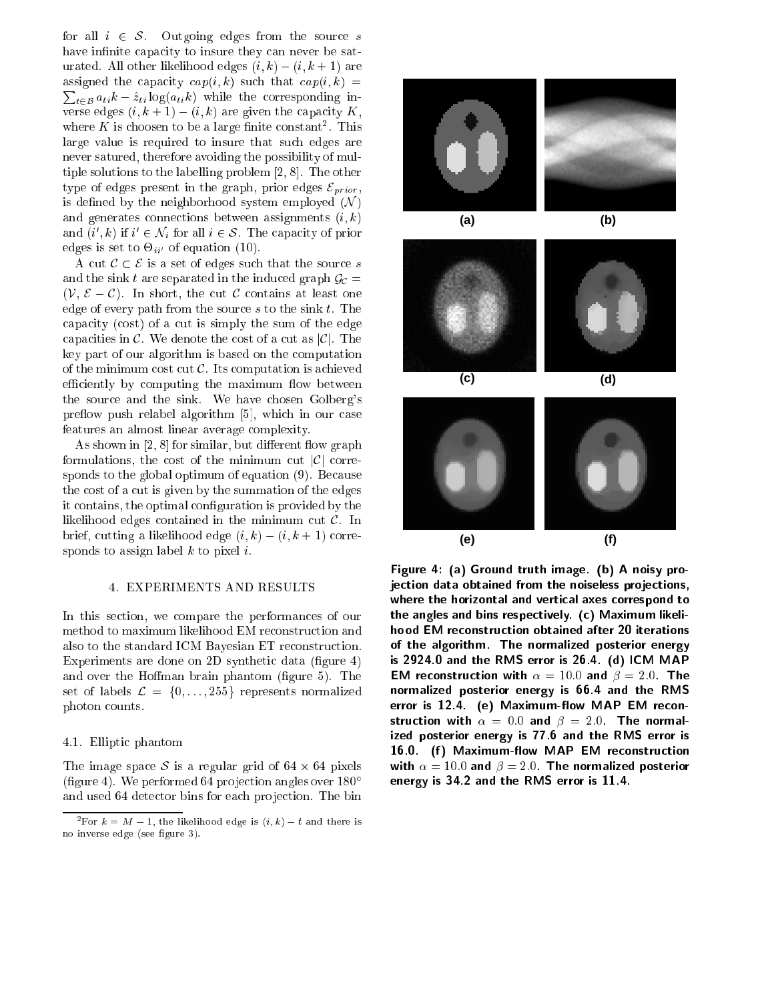for all  $i \in S$ . Outgoing edges from the source s have infinite capacity to insure they can never be saturated. All other likelihood edges  $(i, k) - (i, k + 1)$  are  $\sum_{t \in \mathcal{B}} a_{ti} k - \hat{z}_{ti} \log(a_{ti} k)$  while the corresponding inassigned the capacity  $cap(i,k)$  such that  $cap(i,k)$  = verse edges  $(i, k + 1) - (i, k)$  are given the capacity K, where  $K$  is choosen to be a large finite constant . This large value is required to insure that su
h edges are never satured, therefore avoiding the possibility of multiple solutions to the labelling problem  $[2, 8]$ . The other type of edges present in the graph, prior edges  $\mathcal{E}_{prior}$ , is defined by the neighborhood system employed  $(N)$ and generates connections between assignments  $(i, k)$ and  $(i, \kappa)$  if  $i \in \mathcal{N}_i$  for all  $i \in \mathcal{S}$ . The capacity of prior  $\alpha$  of  $\alpha$  is set to  $\alpha$  if the set of  $\alpha$  is  $(10)$ .

A cut  $\mathcal{C} \subset \mathcal{E}$  is a set of edges such that the source s and the sink t are separated in the induced graph  $\mathcal{G}_{\mathcal{C}} =$  $(V, \mathcal{E} - \mathcal{C})$ . In short, the cut  $\mathcal{C}$  contains at least one edge of every path from the source  $s$  to the sink  $t$ . The capacity (cost) of a cut is simply the sum of the edge capacities in  $\mathcal{C}$ . We denote the cost of a cut as  $|\mathcal{C}|$ . The key part of our algorithm is based on the omputation of the minimum cost cut  $\mathcal C$ . Its computation is achieved efficiently by computing the maximum flow between the sour
e and the sink. We have hosen Golberg's preflow push relabel algorithm [5], which in our case features an almost linear average omplexity.

As shown in  $[2, 8]$  for similar, but different flow graph formulations, the cost of the minimum cut  $|\mathcal{C}|$  corresponds to the global optimum of equation (9). Because the cost of a cut is given by the summation of the edges it contains, the optimal configuration is provided by the likelihood edges contained in the minimum cut  $\mathcal{C}$ . In brief, cutting a likelihood edge  $(i, k) - (i, k + 1)$  corresponds to assign label  $k$  to pixel  $i$ .

#### 4. EXPERIMENTS AND RESULTS

In this section, we compare the performances of our method to maximum likelihood EM reconstruction and also to the standard ICM Bayesian ET reconstruction. Experiments are done on  $2D$  synthetic data (figure 4) and over the Hoffman brain phantom (figure 5). The set of labels  $\mathcal{L} = \{0, \ldots, 255\}$  represents normalized photon ounts.

## 4.1. Ellipti phantom

<u>the image space</u> of most complete  $\alpha$  is a contract of function (figure 4). We performed 64 projection angles over  $180^{\circ}$ and used 64 detector bins for each projection. The bin



**(e) (f)**

Figure 4: (a) Ground truth image. (b) A noisy projection data obtained from the noiseless projections, where the horizontal and vertical axes correspond to the angles and bins respe
tively. (
) Maximum likelihood EM reconstruction obtained after 20 iterations of the algorithm. The normalized posterior energy is 2924.0 and the RMS error is 26.4. (d) ICM MAP **EM** reconstruction with  $\alpha = 10.0$  and  $\beta = 2.0$ . The normalized posterior energy is 66.4 and the RMS error is 12.4. (e) Maximum-flow MAP EM reconstruction with  $\alpha = 0.0$  and  $\beta = 2.0$ . The normalized posterior energy is 77.6 and the RMS error is 16.0. (f) Maximum-flow MAP EM reconstruction with  $\alpha = 10.0$  and  $\beta = 2.0$ . The normalized posterior energy is 34.2 and the RMS error is 11.4.

For  $\kappa = m - 1$ , the likelihood edge is  $(i, \kappa) - i$  and there is no inverse edge (see gure 3).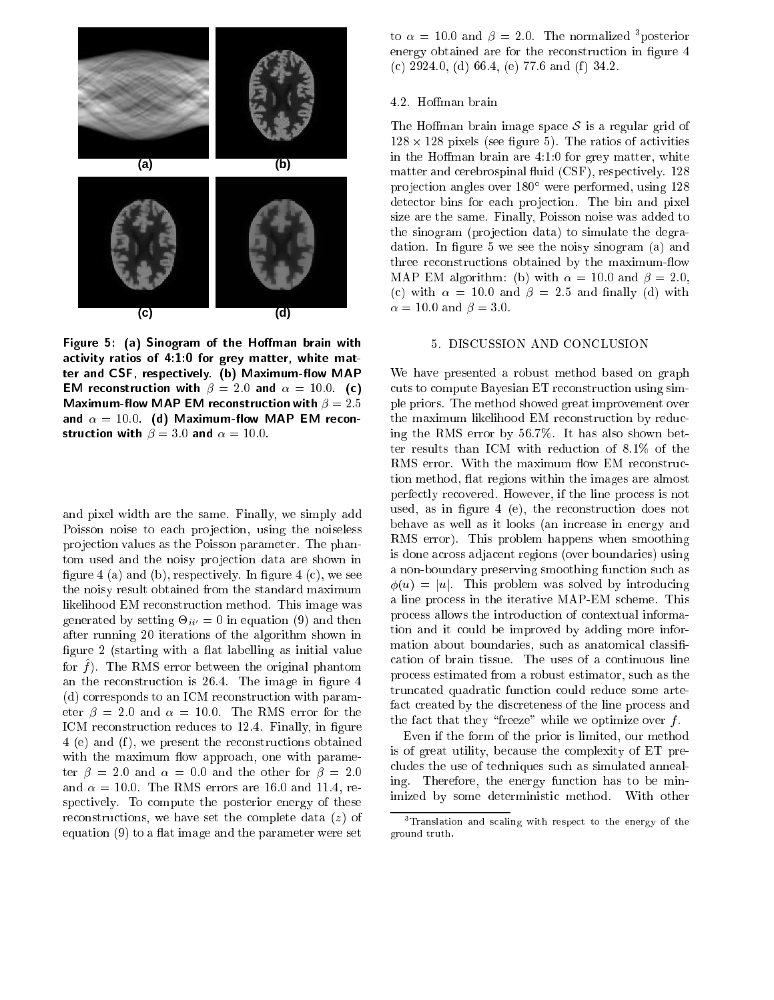

Figure 5: (a) Sinogram of the Hoffman brain with a
tivity ratios of 4:1:0 for grey matter, white matter and CSF, respectively. (b) Maximum-flow MAP EM reconstruction with  $\beta = 2.0$  and  $\alpha = 10.0$ . (c) Maximum-flow MAP EM reconstruction with  $\beta = 2.5$ and  $\alpha = 10.0$ . (d) Maximum-flow MAP EM reconstruction with  $\beta = 3.0$  and  $\alpha = 10.0$ .

and pixel width are the same. Finally, we simply add Poisson noise to each projection, using the noiseless projection values as the Poisson parameter. The phantom used and the noisy projection data are shown in figure 4 (a) and (b), respectively. In figure 4  $(c)$ , we see the noisy result obtained from the standard maximum likelihood EM reconstruction method. This image was  $S_{\text{in}}$  in equation (9) and then after running 20 iterations of the algorithm shown in figure 2 (starting with a flat labelling as initial value for  $f$ ). The RMS error between the original phantom an the reconstruction is 26.4. The image in figure 4 (d) corresponds to an ICM reconstruction with param- $\mathcal{O}$  or an ICM responds to an ICM responds to an ICM responds to an ICM responds to an ICM responds to an ICM responds to an ICM responds to an ICM responds to an ICM responds to an ICM responds to an ICM responds to eter  $\beta = 2.0$  and  $\alpha = 10.0$ . The RMS error for the ICM reconstruction reduces to 12.4. Finally, in figure 4 (e) and (f), we present the reconstructions obtained with the maximum flow approach, one with parameter  $\beta = 2.0$  and  $\alpha = 0.0$  and the other for  $\beta = 2.0$ and  $\alpha = 10.0$ . The RMS errors are 16.0 and 11.4, respectively. To compute the posterior energy of these reconstructions, we have set the complete data  $(z)$  of equation  $(9)$  to a flat image and the parameter were set

to  $\alpha = 10.0$  and  $\rho = 2.0$ . The normalized sposterior energy obtained are for the reconstruction in figure 4 (c)  $2924.0$ , (d)  $66.4$ , (e)  $77.6$  and (f)  $34.2$ .

# 4.2. Hoffman brain

The Hoffman brain image space  $S$  is a regular grid of <u>128 - 128 pixels (see inglese v</u>). The ratios of all seeds in in the Hoffman brain are  $4:1:0$  for grey matter, white matter and cerebrospinal fluid (CSF), respectively. 128 projection angles over 180° were performed, using 128 detector bins for each projection. The bin and pixel size are the same. Finally, Poisson noise was added to the sinogram (projection data) to simulate the degradation. In figure 5 we see the noisy sinogram (a) and three reconstructions obtained by the maximum-flow MAP EM algorithm: (b) with  $\alpha = 10.0$  and  $\beta = 2.0$ , (c) with  $\alpha = 10.0$  and  $\beta = 2.5$  and finally (d) with  $\alpha = 10.0$  and  $\beta = 3.0$ .

## 5. DISCUSSION AND CONCLUSION

We have presented a robust method based on graph cuts to compute Bayesian ET reconstruction using simple priors. The method showed great improvement over the maximum likelihood EM reconstruction by reducing the RMS error by 56:7%. It has also shown better results than ICM with redu
tion of 8:1% of the RMS error. With the maximum flow EM reconstruction method, flat regions within the images are almost perfe
tly re
overed. However, if the line pro
ess is not used, as in figure 4 (e), the reconstruction does not behave as well as it looks (an increase in energy and RMS error). This problem happens when smoothing is done a
ross adja
ent regions (over boundaries) using a non-boundary preserving smoothing function such as  $\phi(u) = |u|$ . This problem was solved by introducing a line pro
ess in the iterative MAP-EM s
heme. This pro
ess allows the introdu
tion of ontextual information and it ould be improved by adding more information about boundaries, such as anatomical classifiation of brain tissue. The uses of a ontinuous line pro
ess estimated from a robust estimator, su
h as the truncated quadratic function could reduce some artefact created by the discreteness of the line process and the fact that they "freeze" while we optimize over  $f$ .

Even if the form of the prior is limited, our method is of great utility, be
ause the omplexity of ET pre cludes the use of techniques such as simulated annealing. Therefore, the energy fun
tion has to be minimized by some deterministic method. With other

<sup>3</sup>Translation and s
aling with respe
t to the energy of the ground truth.